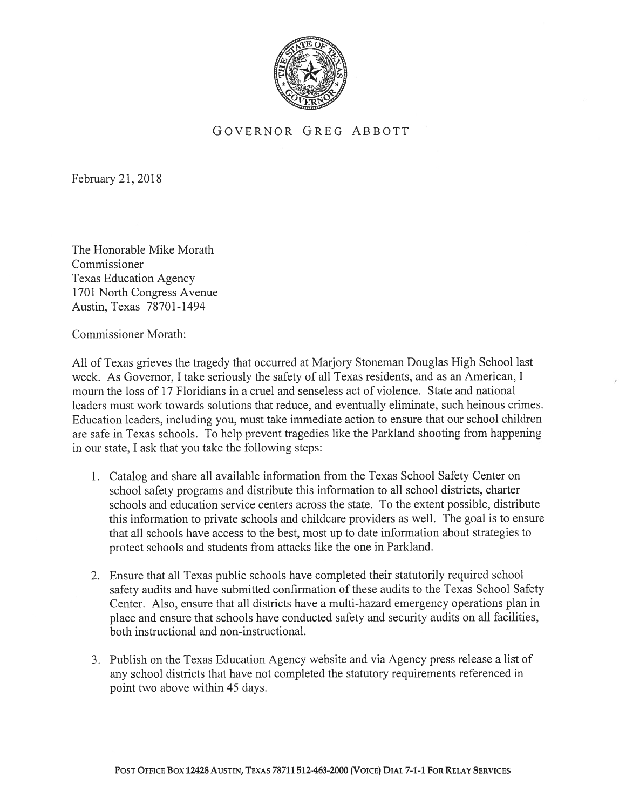

## GOVERNOR GREG ABBOTT

February 21, 201\$

The Honorable Mike Morath Commissioner Texas Education Agency 1701 North Congress Avenue Austin, Texas 78701-1494

Commissioner Morath:

All of Texas grieves the tragedy that occurred at Marjory Stoneman Douglas High School last week. As Governor, I take seriously the safety of all Texas residents, and as an American, I mourn the loss of 17 Floridians in <sup>a</sup> cruel and senseless act of violence. State and national leaders must work towards solutions that reduce, and eventually eliminate, such heinous crimes. Education leaders, including you, must take immediate action to ensure that our school children are safe in Texas schools. To help preven<sup>t</sup> tragedies like the Parkland shooting from happening in our state. I ask that you take the following steps:

- 1. Catalog and share all available information from the Texas School Safety Center on school safety programs and distribute this information to all school districts, charter schools and education service centers across the state. To the extent possible, distribute this information to private schools and childcare providers as well. The goal is to ensure that all schools have access to the best, most up to date information about strategies to protect schools and students from attacks like the one in Parkland.
- 2. Ensure that all Texas public schools have completed their statutorily required school safety audits and have submitted confirmation of these audits to the Texas School Safety Center. Also, ensure that all districts have <sup>a</sup> multi-hazard emergency operations plan in place and ensure that schools have conducted safety and security audits on all facilities, both instructional and non-instructional.
- 3. Publish on the Texas Education Agency website and via Agency press release <sup>a</sup> list of any school districts that have not completed the statutory requirements referenced in point two above within 45 days.